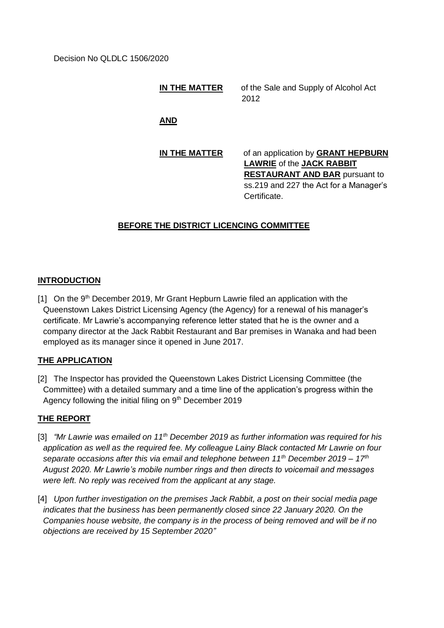#### **IN THE MATTER** of the Sale and Supply of Alcohol Act 2012

**AND**

## **IN THE MATTER** of an application by **GRANT HEPBURN LAWRIE** of the **JACK RABBIT RESTAURANT AND BAR** pursuant to ss.219 and 227 the Act for a Manager's Certificate.

# **BEFORE THE DISTRICT LICENCING COMMITTEE**

## **INTRODUCTION**

 $[11]$  On the 9<sup>th</sup> December 2019, Mr Grant Hepburn Lawrie filed an application with the Queenstown Lakes District Licensing Agency (the Agency) for a renewal of his manager's certificate. Mr Lawrie's accompanying reference letter stated that he is the owner and a company director at the Jack Rabbit Restaurant and Bar premises in Wanaka and had been employed as its manager since it opened in June 2017.

#### **THE APPLICATION**

[2] The Inspector has provided the Queenstown Lakes District Licensing Committee (the Committee) with a detailed summary and a time line of the application's progress within the Agency following the initial filing on 9<sup>th</sup> December 2019

#### **THE REPORT**

- [3] *"Mr Lawrie was emailed on 11th December 2019 as further information was required for his application as well as the required fee. My colleague Lainy Black contacted Mr Lawrie on four separate occasions after this via email and telephone between 11th December 2019 – 17th August 2020. Mr Lawrie's mobile number rings and then directs to voicemail and messages were left. No reply was received from the applicant at any stage.*
- [4] *Upon further investigation on the premises Jack Rabbit, a post on their social media page indicates that the business has been permanently closed since 22 January 2020. On the Companies house website, the company is in the process of being removed and will be if no objections are received by 15 September 2020"*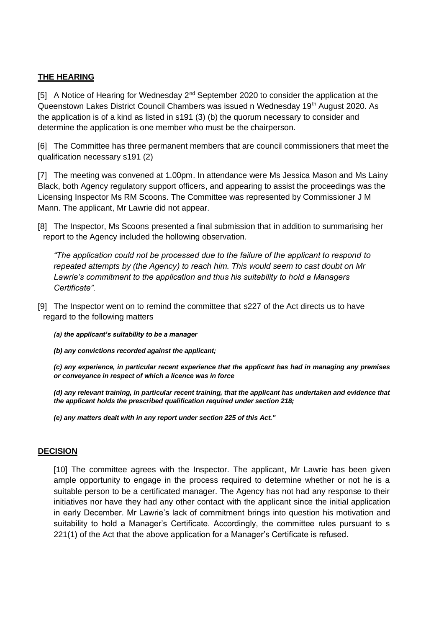### **THE HEARING**

[5] A Notice of Hearing for Wednesday  $2<sup>nd</sup>$  September 2020 to consider the application at the Queenstown Lakes District Council Chambers was issued n Wednesday 19<sup>th</sup> August 2020. As the application is of a kind as listed in s191 (3) (b) the quorum necessary to consider and determine the application is one member who must be the chairperson.

[6] The Committee has three permanent members that are council commissioners that meet the qualification necessary s191 (2)

[7] The meeting was convened at 1.00pm. In attendance were Ms Jessica Mason and Ms Lainy Black, both Agency regulatory support officers, and appearing to assist the proceedings was the Licensing Inspector Ms RM Scoons. The Committee was represented by Commissioner J M Mann. The applicant, Mr Lawrie did not appear.

[8] The Inspector, Ms Scoons presented a final submission that in addition to summarising her report to the Agency included the hollowing observation.

*"The application could not be processed due to the failure of the applicant to respond to repeated attempts by (the Agency) to reach him. This would seem to cast doubt on Mr Lawrie's commitment to the application and thus his suitability to hold a Managers Certificate".*

- [9] The Inspector went on to remind the committee that s227 of the Act directs us to have regard to the following matters
	- *(a) the applicant's suitability to be a manager*
	- *(b) any convictions recorded against the applicant;*

*(c) any experience, in particular recent experience that the applicant has had in managing any premises or conveyance in respect of which a licence was in force*

*(d) any relevant training, in particular recent training, that the applicant has undertaken and evidence that the applicant holds the prescribed qualification required under section 218;*

*(e) any matters dealt with in any report under section 225 of this Act."*

#### **DECISION**

[10] The committee agrees with the Inspector. The applicant, Mr Lawrie has been given ample opportunity to engage in the process required to determine whether or not he is a suitable person to be a certificated manager. The Agency has not had any response to their initiatives nor have they had any other contact with the applicant since the initial application in early December. Mr Lawrie's lack of commitment brings into question his motivation and suitability to hold a Manager's Certificate. Accordingly, the committee rules pursuant to s 221(1) of the Act that the above application for a Manager's Certificate is refused.